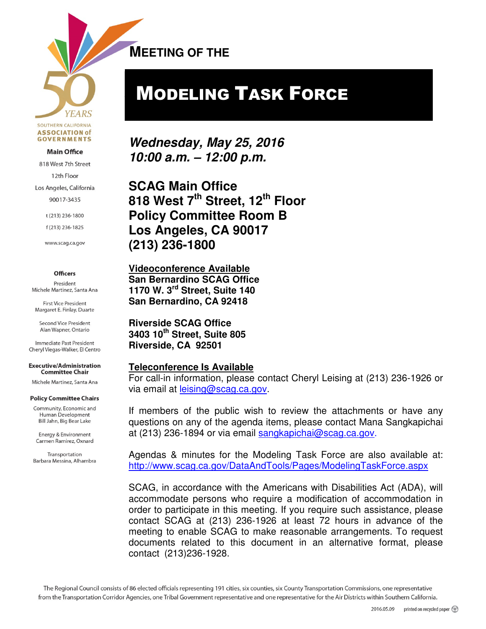**YEARS** SOUTHERN CALIFORNIA **ASSOCIATION of GOVERNMENTS** 

#### **Main Office**

818 West 7th Street

12th Floor

Los Angeles, California

90017-3435

t (213) 236-1800

f(213) 236-1825

www.scag.ca.gov

#### **Officers**

President Michele Martinez, Santa Ana

**First Vice President** Margaret E. Finlay, Duarte

Second Vice President Alan Wapner, Ontario

Immediate Past President Cheryl Viegas-Walker, El Centro

**Executive/Administration Committee Chair** 

Michele Martinez, Santa Ana

#### **Policy Committee Chairs**

Community, Economic and Human Development Bill Jahn, Big Bear Lake

Energy & Environment Carmen Ramirez, Oxnard

Transportation Barbara Messina, Alhambra **MEETING OF THE**   $\overline{a}$ 

# MODELING TASK FORCE

**Wednesday, May 25, 2016 10:00 a.m. – 12:00 p.m.** 

**SCAG Main Office 818 West 7th Street, 12th Floor Policy Committee Room B Los Angeles, CA 90017 (213) 236-1800** 

**Videoconference Available San Bernardino SCAG Office 1170 W. 3rd Street, Suite 140 San Bernardino, CA 92418** 

**Riverside SCAG Office 3403 10th Street, Suite 805 Riverside, CA 92501** 

#### **Teleconference Is Available**

For call-in information, please contact Cheryl Leising at (213) 236-1926 or via email at leising@scag.ca.gov.

If members of the public wish to review the attachments or have any questions on any of the agenda items, please contact Mana Sangkapichai at (213) 236-1894 or via email sangkapichai@scag.ca.gov.

Agendas & minutes for the Modeling Task Force are also available at: http://www.scag.ca.gov/DataAndTools/Pages/ModelingTaskForce.aspx

SCAG, in accordance with the Americans with Disabilities Act (ADA), will accommodate persons who require a modification of accommodation in order to participate in this meeting. If you require such assistance, please contact SCAG at (213) 236-1926 at least 72 hours in advance of the meeting to enable SCAG to make reasonable arrangements. To request documents related to this document in an alternative format, please contact (213)236-1928.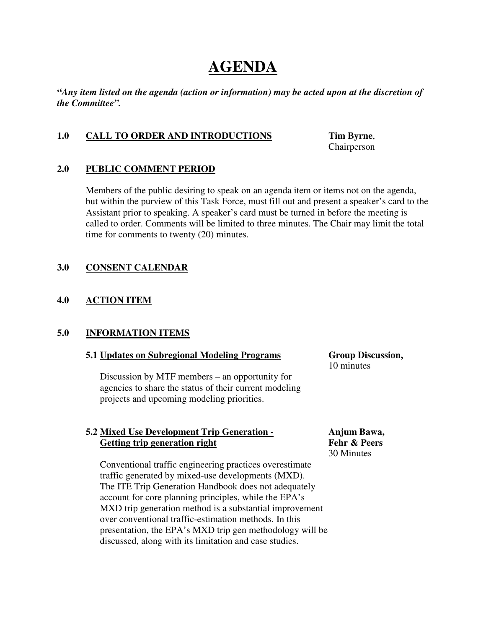## **AGENDA**

**"***Any item listed on the agenda (action or information) may be acted upon at the discretion of the Committee".* 

#### **1.0 CALL TO ORDER AND INTRODUCTIONS Tim Byrne**,

Chairperson

#### **2.0 PUBLIC COMMENT PERIOD**

Members of the public desiring to speak on an agenda item or items not on the agenda, but within the purview of this Task Force, must fill out and present a speaker's card to the Assistant prior to speaking. A speaker's card must be turned in before the meeting is called to order. Comments will be limited to three minutes. The Chair may limit the total time for comments to twenty (20) minutes.

#### **3.0 CONSENT CALENDAR**

#### **4.0 ACTION ITEM**

#### **5.0 INFORMATION ITEMS**

#### **5.1 Updates on Subregional Modeling Programs Group Discussion,**

Discussion by MTF members – an opportunity for agencies to share the status of their current modeling projects and upcoming modeling priorities.

#### **5.2 Mixed Use Development Trip Generation - Anjum Bawa, Getting trip generation right Fehr & Peers**

30 Minutes

10 minutes

 Conventional traffic engineering practices overestimate traffic generated by mixed-use developments (MXD). The ITE Trip Generation Handbook does not adequately account for core planning principles, while the EPA's MXD trip generation method is a substantial improvement over conventional traffic-estimation methods. In this presentation, the EPA's MXD trip gen methodology will be discussed, along with its limitation and case studies.